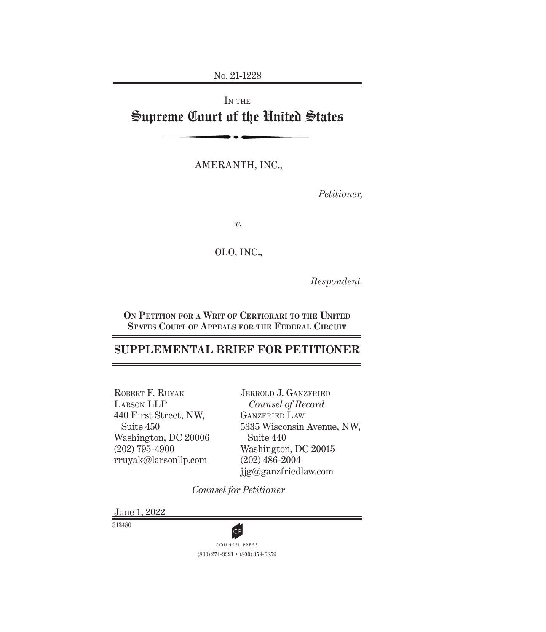No. 21-1228

# IN THE Supreme Court of the United States

AMERANTH, INC.,

*Petitioner,*

*v.*

### OLO, INC.,

*Respondent.*

**On Petition for a Writ of Certiorari to the United States Court of Appeals for the Federal Circuit**

# **SUPPLEMENTAL BRIEF FOR PETITIONER**

ROBERT F. RUYAK Larson LLP 440 First Street, NW, Suite 450 Washington, DC 20006 (202) 795-4900 rruyak@larsonllp.com

JERROLD J. GANZFRIED *Counsel of Record* GANZFRIED LAW 5335 Wisconsin Avenue, NW, Suite 440 Washington, DC 20015 (202) 486-2004 jjg@ganzfriedlaw.com

*Counsel for Petitioner*

June 1, 2022

313480



(800) 274-3321 • (800) 359-6859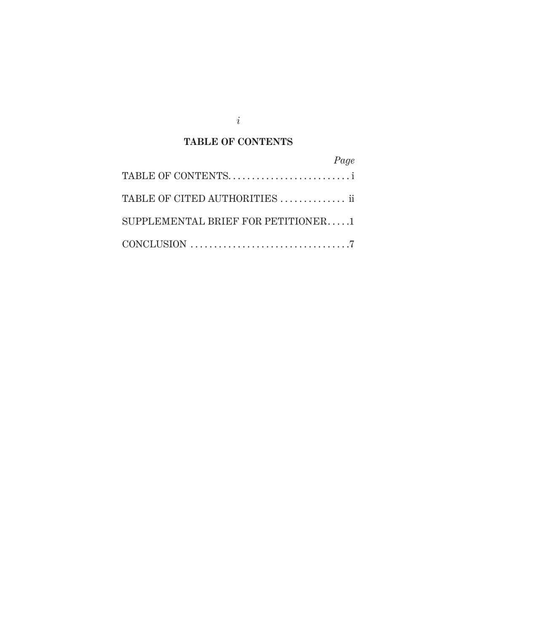*i*

# **TABLE OF CONTENTS**

| Page                                  |  |
|---------------------------------------|--|
| TABLE OF CONTENTS                     |  |
| TABLE OF CITED AUTHORITIES  ii        |  |
| SUPPLEMENTAL BRIEF FOR PETITIONER $1$ |  |
|                                       |  |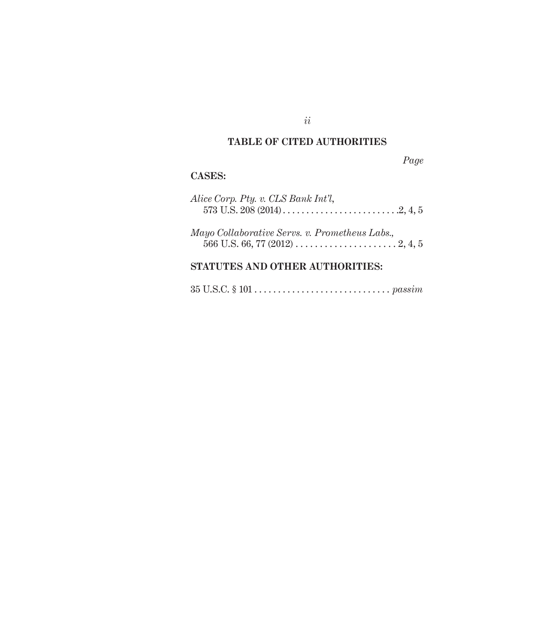## **TABLE OF CITED AUTHORITIES**

*Page*

### **Cases:**

| Alice Corp. Pty. v. CLS Bank Int'l,<br>573 U.S. 208 (2014). $\ldots$ . $\ldots$ . $\ldots$ . $\ldots$ . $2, 4, 5$ |  |
|-------------------------------------------------------------------------------------------------------------------|--|
| Mayo Collaborative Servs. v. Prometheus Labs.,                                                                    |  |

# **Statutes and Other Authorities:**

35 U.S.C. § 101 . . *passim*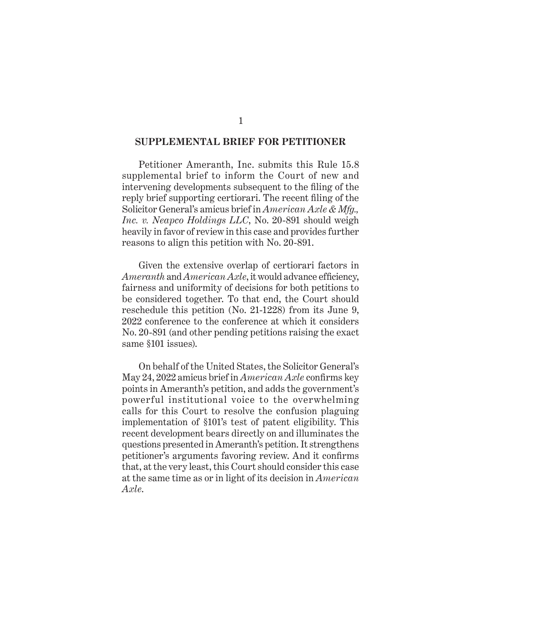#### **SUPPLEMENTAL BRIEF FOR PETITIONER**

Petitioner Ameranth, Inc. submits this Rule 15.8 supplemental brief to inform the Court of new and intervening developments subsequent to the filing of the reply brief supporting certiorari. The recent filing of the Solicitor General's amicus brief in *American Axle & Mfg., Inc. v. Neapco Holdings LLC*, No. 20-891 should weigh heavily in favor of review in this case and provides further reasons to align this petition with No. 20-891.

Given the extensive overlap of certiorari factors in *Ameranth* and *American Axle*, it would advance efficiency, fairness and uniformity of decisions for both petitions to be considered together. To that end, the Court should reschedule this petition (No. 21-1228) from its June 9, 2022 conference to the conference at which it considers No. 20-891 (and other pending petitions raising the exact same §101 issues).

On behalf of the United States, the Solicitor General's May 24, 2022 amicus brief in *American Axle* confirms key points in Ameranth's petition, and adds the government's powerful institutional voice to the overwhelming calls for this Court to resolve the confusion plaguing implementation of §101's test of patent eligibility. This recent development bears directly on and illuminates the questions presented in Ameranth's petition. It strengthens petitioner's arguments favoring review. And it confirms that, at the very least, this Court should consider this case at the same time as or in light of its decision in *American Axle*.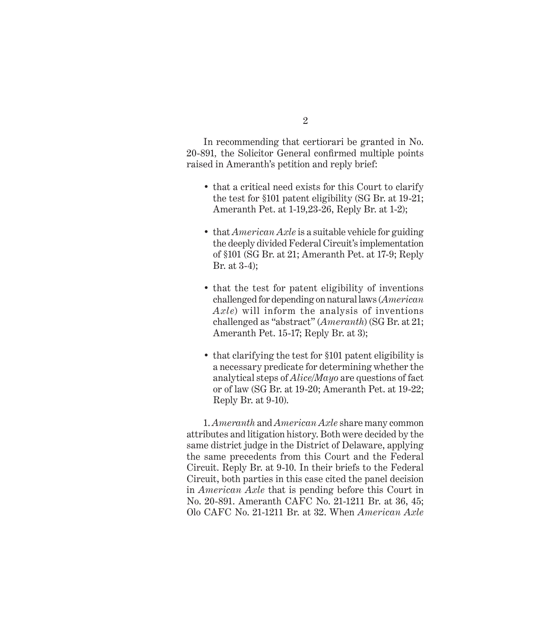In recommending that certiorari be granted in No. 20-891*,* the Solicitor General confirmed multiple points raised in Ameranth's petition and reply brief:

- that a critical need exists for this Court to clarify the test for §101 patent eligibility (SG Br. at 19-21; Ameranth Pet. at 1-19,23-26, Reply Br. at 1-2);
- that *American Axle* is a suitable vehicle for guiding the deeply divided Federal Circuit's implementation of §101 (SG Br. at 21; Ameranth Pet. at 17-9; Reply Br. at 3-4);
- that the test for patent eligibility of inventions challenged for depending on natural laws (*American Axle*) will inform the analysis of inventions challenged as "abstract" (*Ameranth*) (SG Br. at 21; Ameranth Pet. 15-17; Reply Br. at 3);
- that clarifying the test for §101 patent eligibility is a necessary predicate for determining whether the analytical steps of *Alice/Mayo* are questions of fact or of law (SG Br. at 19-20; Ameranth Pet. at 19-22; Reply Br. at 9-10).

1. *Ameranth* and *American Axle* share many common attributes and litigation history. Both were decided by the same district judge in the District of Delaware, applying the same precedents from this Court and the Federal Circuit. Reply Br. at 9-10. In their briefs to the Federal Circuit, both parties in this case cited the panel decision in *American Axle* that is pending before this Court in No. 20-891. Ameranth CAFC No. 21-1211 Br. at 36, 45; Olo CAFC No. 21-1211 Br. at 32. When *American Axle*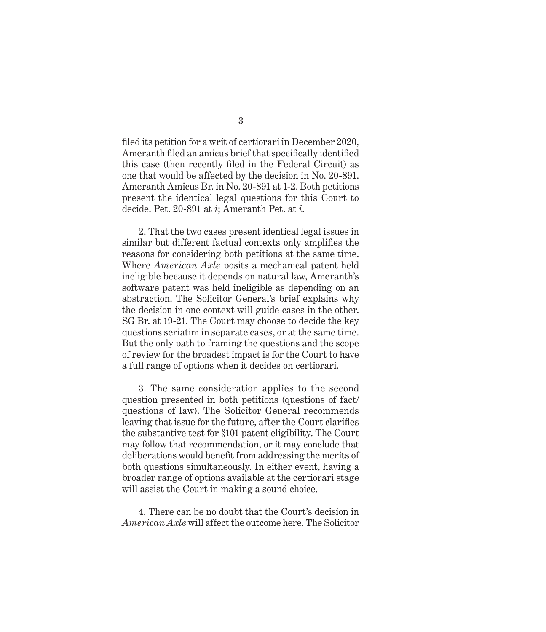filed its petition for a writ of certiorari in December 2020, Ameranth filed an amicus brief that specifically identified this case (then recently filed in the Federal Circuit) as one that would be affected by the decision in No. 20-891. Ameranth Amicus Br. in No. 20-891 at 1-2. Both petitions present the identical legal questions for this Court to decide. Pet. 20-891 at *i*; Ameranth Pet. at *i*.

2. That the two cases present identical legal issues in similar but different factual contexts only amplifies the reasons for considering both petitions at the same time. Where *American Axle* posits a mechanical patent held ineligible because it depends on natural law, Ameranth's software patent was held ineligible as depending on an abstraction. The Solicitor General's brief explains why the decision in one context will guide cases in the other. SG Br. at 19-21. The Court may choose to decide the key questions seriatim in separate cases, or at the same time. But the only path to framing the questions and the scope of review for the broadest impact is for the Court to have a full range of options when it decides on certiorari.

3. The same consideration applies to the second question presented in both petitions (questions of fact/ questions of law). The Solicitor General recommends leaving that issue for the future, after the Court clarifies the substantive test for §101 patent eligibility. The Court may follow that recommendation, or it may conclude that deliberations would benefit from addressing the merits of both questions simultaneously. In either event, having a broader range of options available at the certiorari stage will assist the Court in making a sound choice.

4. There can be no doubt that the Court's decision in *American Axle* will affect the outcome here. The Solicitor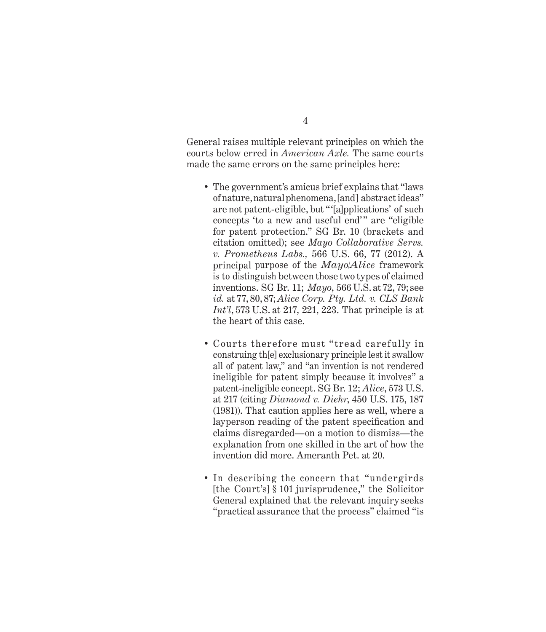General raises multiple relevant principles on which the courts below erred in *American Axle.* The same courts made the same errors on the same principles here:

- The government's amicus brief explains that "laws of nature, natural phenomena, [and] abstract ideas" are not patent-eligible, but "'[a]pplications' of such concepts 'to a new and useful end'" are "eligible for patent protection." SG Br. 10 (brackets and citation omitted); see *Mayo Collaborative Servs. v. Prometheus Labs.,* 566 U.S. 66, 77 (2012). A principal purpose of the *Mayo/Alice* framework is to distinguish between those two types of claimed inventions. SG Br. 11; *Mayo*, 566 U.S. at 72, 79; see *id.* at 77, 80, 87; *Alice Corp. Pty. Ltd. v. CLS Bank Int'l*, 573 U.S. at 217, 221, 223. That principle is at the heart of this case.
- Courts therefore must "tread carefully in construing th[e] exclusionary principle lest it swallow all of patent law," and "an invention is not rendered ineligible for patent simply because it involves" a patent-ineligible concept. SG Br. 12; *Alice*, 573 U.S. at 217 (citing *Diamond v. Diehr*, 450 U.S. 175, 187 (1981)). That caution applies here as well, where a layperson reading of the patent specification and claims disregarded—on a motion to dismiss—the explanation from one skilled in the art of how the invention did more. Ameranth Pet. at 20.
- In describing the concern that "undergirds [the Court's] § 101 jurisprudence," the Solicitor General explained that the relevant inquiry seeks "practical assurance that the process" claimed "is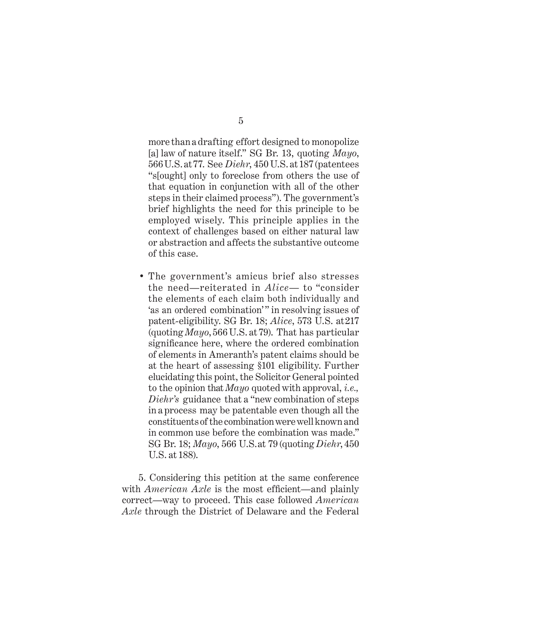more than a drafting effort designed to monopolize [a] law of nature itself." SG Br. 13, quoting *Mayo*, 566 U.S. at 77. See *Diehr*, 450 U.S. at 187 (patentees "s[ought] only to foreclose from others the use of that equation in conjunction with all of the other steps in their claimed process"). The government's brief highlights the need for this principle to be employed wisely. This principle applies in the context of challenges based on either natural law or abstraction and affects the substantive outcome of this case.

• The government's amicus brief also stresses the need—reiterated in *Alice—* to "consider the elements of each claim both individually and 'as an ordered combination'" in resolving issues of patent-eligibility. SG Br. 18; *Alice*, 573 U.S. at 217 (quoting *Mayo*, 566 U.S. at 79). That has particular significance here, where the ordered combination of elements in Ameranth's patent claims should be at the heart of assessing §101 eligibility. Further elucidating this point, the Solicitor General pointed to the opinion that *Mayo* quoted with approval, *i.e., Diehr's* guidance that a "new combination of steps in a process may be patentable even though all the constituents of the combination were well known and in common use before the combination was made." SG Br. 18; *Mayo*, 566 U.S. at 79 (quoting *Diehr*, 450 U.S. at 188).

5. Considering this petition at the same conference with *American Axle* is the most efficient—and plainly correct—way to proceed. This case followed *American Axle* through the District of Delaware and the Federal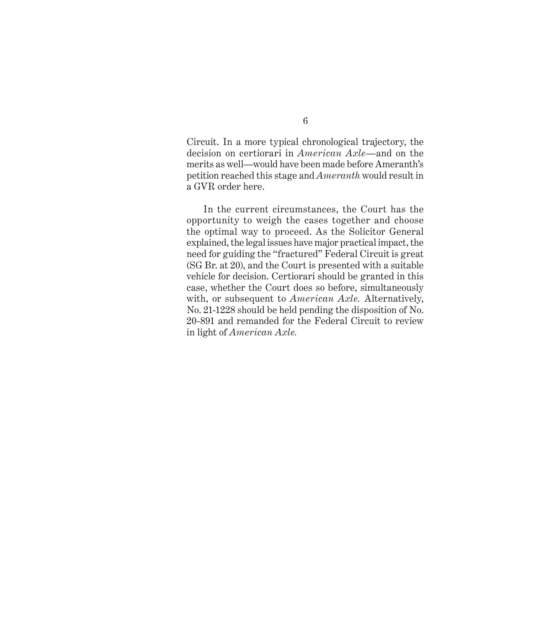Circuit. In a more typical chronological trajectory, the decision on certiorari in *American Axle*—and on the merits as well—would have been made before Ameranth's petition reached this stage and *Ameranth* would result in a GVR order here.

In the current circumstances, the Court has the opportunity to weigh the cases together and choose the optimal way to proceed. As the Solicitor General explained, the legal issues have major practical impact, the need for guiding the "fractured" Federal Circuit is great (SG Br. at 20), and the Court is presented with a suitable vehicle for decision. Certiorari should be granted in this case, whether the Court does so before, simultaneously with, or subsequent to *American Axle.* Alternatively, No. 21-1228 should be held pending the disposition of No. 20-891 and remanded for the Federal Circuit to review in light of *American Axle.*